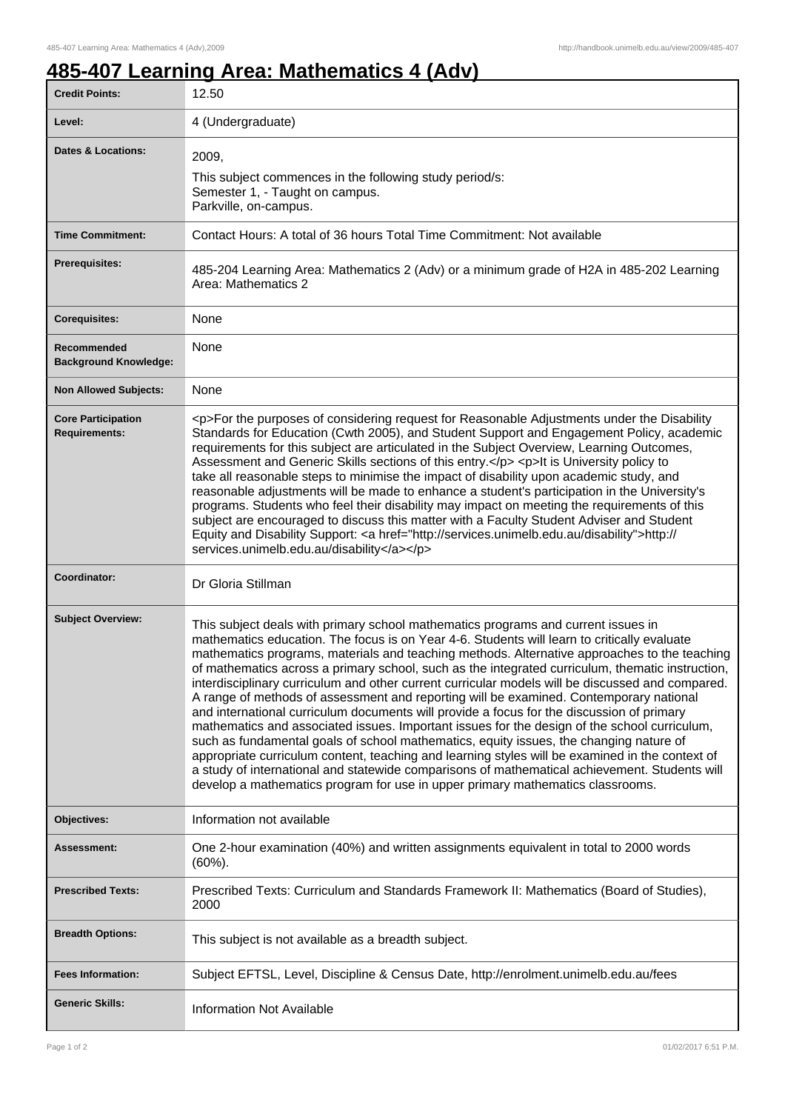## **485-407 Learning Area: Mathematics 4 (Adv)**

| <b>Credit Points:</b>                             | 12.50                                                                                                                                                                                                                                                                                                                                                                                                                                                                                                                                                                                                                                                                                                                                                                                                                                                                                                                                                                                                                                                                                                                                                           |
|---------------------------------------------------|-----------------------------------------------------------------------------------------------------------------------------------------------------------------------------------------------------------------------------------------------------------------------------------------------------------------------------------------------------------------------------------------------------------------------------------------------------------------------------------------------------------------------------------------------------------------------------------------------------------------------------------------------------------------------------------------------------------------------------------------------------------------------------------------------------------------------------------------------------------------------------------------------------------------------------------------------------------------------------------------------------------------------------------------------------------------------------------------------------------------------------------------------------------------|
| Level:                                            | 4 (Undergraduate)                                                                                                                                                                                                                                                                                                                                                                                                                                                                                                                                                                                                                                                                                                                                                                                                                                                                                                                                                                                                                                                                                                                                               |
| <b>Dates &amp; Locations:</b>                     | 2009,<br>This subject commences in the following study period/s:<br>Semester 1, - Taught on campus.<br>Parkville, on-campus.                                                                                                                                                                                                                                                                                                                                                                                                                                                                                                                                                                                                                                                                                                                                                                                                                                                                                                                                                                                                                                    |
| <b>Time Commitment:</b>                           | Contact Hours: A total of 36 hours Total Time Commitment: Not available                                                                                                                                                                                                                                                                                                                                                                                                                                                                                                                                                                                                                                                                                                                                                                                                                                                                                                                                                                                                                                                                                         |
| <b>Prerequisites:</b>                             | 485-204 Learning Area: Mathematics 2 (Adv) or a minimum grade of H2A in 485-202 Learning<br>Area: Mathematics 2                                                                                                                                                                                                                                                                                                                                                                                                                                                                                                                                                                                                                                                                                                                                                                                                                                                                                                                                                                                                                                                 |
| <b>Corequisites:</b>                              | None                                                                                                                                                                                                                                                                                                                                                                                                                                                                                                                                                                                                                                                                                                                                                                                                                                                                                                                                                                                                                                                                                                                                                            |
| Recommended<br><b>Background Knowledge:</b>       | None                                                                                                                                                                                                                                                                                                                                                                                                                                                                                                                                                                                                                                                                                                                                                                                                                                                                                                                                                                                                                                                                                                                                                            |
| <b>Non Allowed Subjects:</b>                      | None                                                                                                                                                                                                                                                                                                                                                                                                                                                                                                                                                                                                                                                                                                                                                                                                                                                                                                                                                                                                                                                                                                                                                            |
| <b>Core Participation</b><br><b>Requirements:</b> | <p>For the purposes of considering request for Reasonable Adjustments under the Disability<br/>Standards for Education (Cwth 2005), and Student Support and Engagement Policy, academic<br/>requirements for this subject are articulated in the Subject Overview, Learning Outcomes,<br/>Assessment and Generic Skills sections of this entry.</p> <p>lt is University policy to<br/>take all reasonable steps to minimise the impact of disability upon academic study, and<br/>reasonable adjustments will be made to enhance a student's participation in the University's<br/>programs. Students who feel their disability may impact on meeting the requirements of this<br/>subject are encouraged to discuss this matter with a Faculty Student Adviser and Student<br/>Equity and Disability Support: &lt; a href="http://services.unimelb.edu.au/disability"&gt;http://<br/>services.unimelb.edu.au/disability</p>                                                                                                                                                                                                                                    |
| Coordinator:                                      | Dr Gloria Stillman                                                                                                                                                                                                                                                                                                                                                                                                                                                                                                                                                                                                                                                                                                                                                                                                                                                                                                                                                                                                                                                                                                                                              |
| <b>Subject Overview:</b>                          | This subject deals with primary school mathematics programs and current issues in<br>mathematics education. The focus is on Year 4-6. Students will learn to critically evaluate<br>mathematics programs, materials and teaching methods. Alternative approaches to the teaching<br>of mathematics across a primary school, such as the integrated curriculum, thematic instruction,<br>interdisciplinary curriculum and other current curricular models will be discussed and compared.<br>A range of methods of assessment and reporting will be examined. Contemporary national<br>and international curriculum documents will provide a focus for the discussion of primary<br>mathematics and associated issues. Important issues for the design of the school curriculum,<br>such as fundamental goals of school mathematics, equity issues, the changing nature of<br>appropriate curriculum content, teaching and learning styles will be examined in the context of<br>a study of international and statewide comparisons of mathematical achievement. Students will<br>develop a mathematics program for use in upper primary mathematics classrooms. |
| Objectives:                                       | Information not available                                                                                                                                                                                                                                                                                                                                                                                                                                                                                                                                                                                                                                                                                                                                                                                                                                                                                                                                                                                                                                                                                                                                       |
| Assessment:                                       | One 2-hour examination (40%) and written assignments equivalent in total to 2000 words<br>$(60\%)$ .                                                                                                                                                                                                                                                                                                                                                                                                                                                                                                                                                                                                                                                                                                                                                                                                                                                                                                                                                                                                                                                            |
| <b>Prescribed Texts:</b>                          | Prescribed Texts: Curriculum and Standards Framework II: Mathematics (Board of Studies),<br>2000                                                                                                                                                                                                                                                                                                                                                                                                                                                                                                                                                                                                                                                                                                                                                                                                                                                                                                                                                                                                                                                                |
| <b>Breadth Options:</b>                           | This subject is not available as a breadth subject.                                                                                                                                                                                                                                                                                                                                                                                                                                                                                                                                                                                                                                                                                                                                                                                                                                                                                                                                                                                                                                                                                                             |
| <b>Fees Information:</b>                          | Subject EFTSL, Level, Discipline & Census Date, http://enrolment.unimelb.edu.au/fees                                                                                                                                                                                                                                                                                                                                                                                                                                                                                                                                                                                                                                                                                                                                                                                                                                                                                                                                                                                                                                                                            |
| <b>Generic Skills:</b>                            | <b>Information Not Available</b>                                                                                                                                                                                                                                                                                                                                                                                                                                                                                                                                                                                                                                                                                                                                                                                                                                                                                                                                                                                                                                                                                                                                |